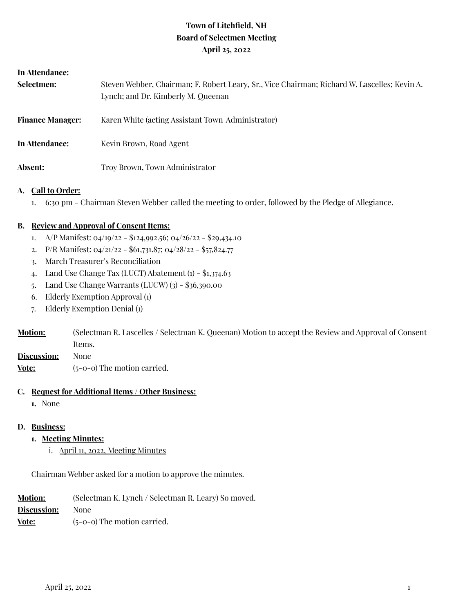## **Town of Litchfield, NH Board of Selectmen Meeting April 25, 2022**

| In Attendance:          |                                                                                                                                    |
|-------------------------|------------------------------------------------------------------------------------------------------------------------------------|
| Selectmen:              | Steven Webber, Chairman; F. Robert Leary, Sr., Vice Chairman; Richard W. Lascelles; Kevin A.<br>Lynch; and Dr. Kimberly M. Queenan |
| <b>Finance Manager:</b> | Karen White (acting Assistant Town Administrator)                                                                                  |
| In Attendance:          | Kevin Brown, Road Agent                                                                                                            |
| <b>Absent:</b>          | Troy Brown, Town Administrator                                                                                                     |

#### **A. Call to Order:**

1. 6:30 pm - Chairman Steven Webber called the meeting to order, followed by the Pledge of Allegiance.

#### **B. Review and Approval of Consent Items:**

- 1. A/P Manifest:  $04/19/22 124,992.56$ ;  $04/26/22 29,434.10$
- 2. P/R Manifest: 04/21/22 \$61,731.87; 04/28/22 \$57,824.77
- 3. March Treasurer's Reconciliation
- 4. Land Use Change Tax (LUCT) Abatement  $(i)$  \$1,374.63
- 5. Land Use Change Warrants (LUCW) (3) \$36,390.00
- 6. Elderly Exemption Approval (1)
- 7. Elderly Exemption Denial (1)
- **Motion:** (Selectman R. Lascelles / Selectman K. Queenan) Motion to accept the Review and Approval of Consent Items.
- **Discussion:** None
- **Vote:** (5-0-0) The motion carried.

#### **C. Request for Additional Items / Other Business:**

**1.** None

#### **D. Business:**

- **1. Meeting Minutes:**
	- i. April 11, 2022, Meeting Minutes

Chairman Webber asked for a motion to approve the minutes.

| <b>Motion:</b> | (Selectman K. Lynch / Selectman R. Leary) So moved. |
|----------------|-----------------------------------------------------|
| Discussion:    | <b>None</b>                                         |
| Vote:          | $(5-0-0)$ The motion carried.                       |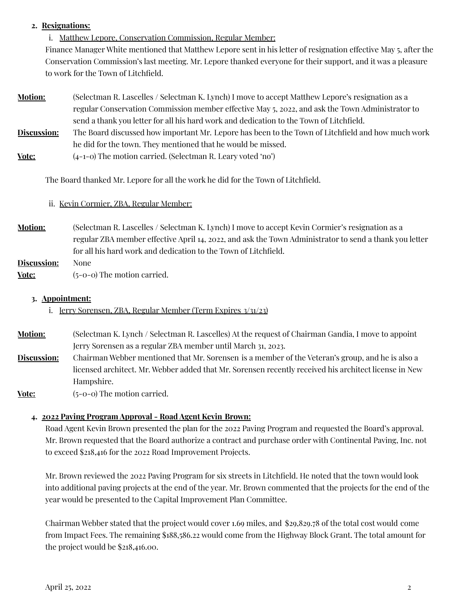#### **2. Resignations:**

i. Matthew Lepore, Conservation Commission, Regular Member:

Finance Manager White mentioned that Matthew Lepore sent in his letter of resignation effective May 5, after the Conservation Commission's last meeting. Mr. Lepore thanked everyone for their support, and it was a pleasure to work for the Town of Litchfield.

- **Motion:** (Selectman R. Lascelles / Selectman K. Lynch) I move to accept Matthew Lepore's resignation as a regular Conservation Commission member effective May 5, 2022, and ask the Town Administrator to send a thank you letter for all his hard work and dedication to the Town of Litchfield.
- **Discussion:** The Board discussed how important Mr. Lepore has been to the Town of Litchfield and how much work he did for the town. They mentioned that he would be missed.
- **<u>Vote:</u>** (4-1-0) The motion carried. (Selectman R. Leary voted 'no')

The Board thanked Mr. Lepore for all the work he did for the Town of Litchfield.

## ii. Kevin Cormier, ZBA, Regular Member:

- **Motion:** (Selectman R. Lascelles / Selectman K. Lynch) I move to accept Kevin Cormier's resignation as a regular ZBA member effective April 14, 2022, and ask the Town Administrator to send a thank you letter for all his hard work and dedication to the Town of Litchfield.
- **Discussion:** None **Vote:** (5-0-0) The motion carried.

#### **3. Appointment:**

i. Jerry Sorensen, ZBA, Regular Member (Term Expires 3/31/23)

- **Motion:** (Selectman K. Lynch / Selectman R. Lascelles) At the request of Chairman Gandia, I move to appoint Jerry Sorensen as a regular ZBA member until March 31, 2023.
- **Discussion:** Chairman Webber mentioned that Mr. Sorensen is a member of the Veteran's group, and he is also a licensed architect. Mr. Webber added that Mr. Sorensen recently received his architect license in New Hampshire.
- **Vote:**  $(5-0-0)$  The motion carried.

#### **4. 2022 Paving Program Approval - Road Agent Kevin Brown:**

Road Agent Kevin Brown presented the plan for the 2022 Paving Program and requested the Board's approval. Mr. Brown requested that the Board authorize a contract and purchase order with Continental Paving, Inc. not to exceed \$218,416 for the 2022 Road Improvement Projects.

Mr. Brown reviewed the 2022 Paving Program for six streets in Litchfield. He noted that the town would look into additional paving projects at the end of the year. Mr. Brown commented that the projects for the end of the year would be presented to the Capital Improvement Plan Committee.

Chairman Webber stated that the project would cover 1.69 miles, and \$29,829.78 of the total cost would come from Impact Fees. The remaining \$188,586.22 would come from the Highway Block Grant. The total amount for the project would be \$218,416.00.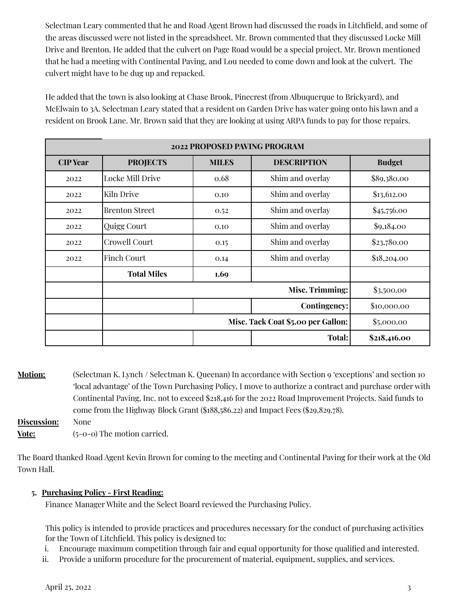Selectman Leary commented that he and Road Agent Brown had discussed the roads in Litchfield, and some of the areas discussed were not listed in the spreadsheet. Mr. Brown commented that they discussed Locke Mill Drive and Brenton. He added that the culvert on Page Road would be a special project. Mr. Brown mentioned that he had a meeting with Continental Paving, and Lou needed to come down and look at the culvert. The culvert might have to be dug up and repacked.

He added that the town is also looking at Chase Brook, Pinecrest (from Albuquerque to Brickyard), and McElwain to 3A. Selectman Leary stated that a resident on Garden Drive has water going onto his lawn and a resident on Brook Lane. Mr. Brown said that they are looking at using ARPA funds to pay for those repairs.

| 2022 PROPOSED PAVING PROGRAM |                       |              |                    |               |  |  |
|------------------------------|-----------------------|--------------|--------------------|---------------|--|--|
| <b>CIP</b> Year              | <b>PROJECTS</b>       | <b>MILES</b> | <b>DESCRIPTION</b> | <b>Budget</b> |  |  |
| 2022                         | Locke Mill Drive      | 0.68         | Shim and overlay   | \$89,380.00   |  |  |
| 2022                         | Kiln Drive            | 0.10         | Shim and overlay   | \$13,612.00   |  |  |
| 2022                         | <b>Brenton Street</b> | 0.52         | Shim and overlay   | \$45,756.00   |  |  |
| 2022                         | Quigg Court           | 0.10         | Shim and overlay   | \$9,184.00    |  |  |
| 2022                         | Crowell Court         | 0.15         | Shim and overlay   | \$23,780.00   |  |  |
| 2022                         | <b>Finch Court</b>    | 0.14         | Shim and overlay   | \$18,204.00   |  |  |
|                              | <b>Total Miles</b>    | 1.69         |                    |               |  |  |
|                              |                       | \$3,500.00   |                    |               |  |  |
|                              |                       |              | Contingency:       | \$10,000.00   |  |  |
|                              |                       | \$5,000.00   |                    |               |  |  |
|                              |                       |              | Total:             | \$218,416.00  |  |  |

**Motion:** (Selectman K. Lynch / Selectman K. Queenan) In accordance with Section 9 'exceptions' and section 10 'local advantage' of the Town Purchasing Policy, I move to authorize a contract and purchase order with Continental Paving, Inc. not to exceed \$218,416 for the 2022 Road Improvement Projects. Said funds to come from the Highway Block Grant (\$188,586.22) and Impact Fees (\$29,829.78). **Discussion:** None

**Vote:** (5-0-0) The motion carried.

The Board thanked Road Agent Kevin Brown for coming to the meeting and Continental Paving for their work at the Old Town Hall.

## **5. Purchasing Policy - First Reading:**

Finance Manager White and the Select Board reviewed the Purchasing Policy.

This policy is intended to provide practices and procedures necessary for the conduct of purchasing activities for the Town of Litchfield. This policy is designed to:

- i. Encourage maximum competition through fair and equal opportunity for those qualified and interested.
- ii. Provide a uniform procedure for the procurement of material, equipment, supplies, and services.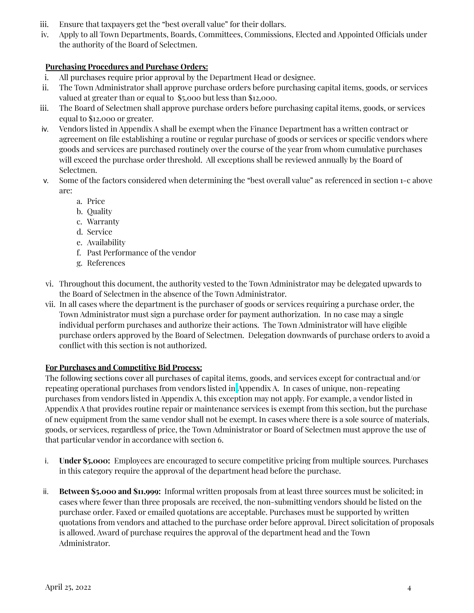- iii. Ensure that taxpayers get the "best overall value" for their dollars.
- iv. Apply to all Town Departments, Boards, Committees, Commissions, Elected and Appointed Officials under the authority of the Board of Selectmen.

#### **Purchasing Procedures and Purchase Orders:**

- i. All purchases require prior approval by the Department Head or designee.
- ii. The Town Administrator shall approve purchase orders before purchasing capital items, goods, or services valued at greater than or equal to \$5,000 but less than \$12,000.
- iii. The Board of Selectmen shall approve purchase orders before purchasing capital items, goods, or services equal to \$12,000 or greater.
- iv. Vendors listed in Appendix A shall be exempt when the Finance Department has a written contract or agreement on file establishing a routine or regular purchase of goods or services or specific vendors where goods and services are purchased routinely over the course of the year from whom cumulative purchases will exceed the purchase order threshold. All exceptions shall be reviewed annually by the Board of Selectmen.
- v. Some of the factors considered when determining the "best overall value" as referenced in section 1-c above are:
	- a. Price
	- b. Quality
	- c. Warranty
	- d. Service
	- e. Availability
	- f. Past Performance of the vendor
	- g. References
- vi. Throughout this document, the authority vested to the Town Administrator may be delegated upwards to the Board of Selectmen in the absence of the Town Administrator.
- vii. In all cases where the department is the purchaser of goods or services requiring a purchase order, the Town Administrator must sign a purchase order for payment authorization. In no case may a single individual perform purchases and authorize their actions. The Town Administrator will have eligible purchase orders approved by the Board of Selectmen. Delegation downwards of purchase orders to avoid a conflict with this section is not authorized.

#### **For Purchases and Competitive Bid Process:**

The following sections cover all purchases of capital items, goods, and services except for contractual and/or repeating operational purchases from vendors listed in Appendix A. In cases of unique, non-repeating purchases from vendors listed in Appendix A, this exception may not apply. For example, a vendor listed in Appendix A that provides routine repair or maintenance services is exempt from this section, but the purchase of new equipment from the same vendor shall not be exempt. In cases where there is a sole source of materials, goods, or services, regardless of price, the Town Administrator or Board of Selectmen must approve the use of that particular vendor in accordance with section 6.

- i. **Under \$5,000:** Employees are encouraged to secure competitive pricing from multiple sources. Purchases in this category require the approval of the department head before the purchase.
- ii. **Between \$5,000 and \$11,999:** Informal written proposals from at least three sources must be solicited; in cases where fewer than three proposals are received, the non-submitting vendors should be listed on the purchase order. Faxed or emailed quotations are acceptable. Purchases must be supported by written quotations from vendors and attached to the purchase order before approval. Direct solicitation of proposals is allowed. Award of purchase requires the approval of the department head and the Town Administrator.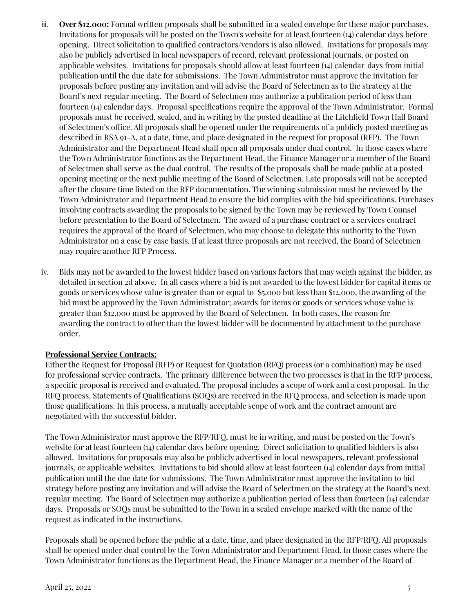- iii. **Over \$12,000:** Formal written proposals shall be submitted in a sealed envelope for these major purchases. Invitations for proposals will be posted on the Town's website for at least fourteen (14) calendar days before opening. Direct solicitation to qualified contractors/vendors is also allowed. Invitations for proposals may also be publicly advertised in local newspapers of record, relevant professional journals, or posted on applicable websites. Invitations for proposals should allow at least fourteen (14) calendar days from initial publication until the due date for submissions. The Town Administrator must approve the invitation for proposals before posting any invitation and will advise the Board of Selectmen as to the strategy at the Board's next regular meeting. The Board of Selectmen may authorize a publication period of less than fourteen (14) calendar days. Proposal specifications require the approval of the Town Administrator. Formal proposals must be received, sealed, and in writing by the posted deadline at the Litchfield Town Hall Board of Selectmen's office. All proposals shall be opened under the requirements of a publicly posted meeting as described in RSA 91-A, at a date, time, and place designated in the request for proposal (RFP). The Town Administrator and the Department Head shall open all proposals under dual control. In those cases where the Town Administrator functions as the Department Head, the Finance Manager or a member of the Board of Selectmen shall serve as the dual control. The results of the proposals shall be made public at a posted opening meeting or the next public meeting of the Board of Selectmen. Late proposals will not be accepted after the closure time listed on the RFP documentation. The winning submission must be reviewed by the Town Administrator and Department Head to ensure the bid complies with the bid specifications. Purchases involving contracts awarding the proposals to be signed by the Town may be reviewed by Town Counsel before presentation to the Board of Selectmen. The award of a purchase contract or a services contract requires the approval of the Board of Selectmen, who may choose to delegate this authority to the Town Administrator on a case by case basis. If at least three proposals are not received, the Board of Selectmen may require another RFP Process.
- iv. Bids may not be awarded to the lowest bidder based on various factors that may weigh against the bidder, as detailed in section 2d above. In all cases where a bid is not awarded to the lowest bidder for capital items or goods or services whose value is greater than or equal to \$5,000 but less than \$12,000, the awarding of the bid must be approved by the Town Administrator; awards for items or goods or services whose value is greater than \$12,000 must be approved by the Board of Selectmen. In both cases, the reason for awarding the contract to other than the lowest bidder will be documented by attachment to the purchase order.

#### **Professional Service Contracts:**

Either the Request for Proposal (RFP) or Request for Quotation (RFQ) process (or a combination) may be used for professional service contracts. The primary difference between the two processes is that in the RFP process, a specific proposal is received and evaluated. The proposal includes a scope of work and a cost proposal. In the RFQ process, Statements of Qualifications (SOQs) are received in the RFQ process, and selection is made upon those qualifications. In this process, a mutually acceptable scope of work and the contract amount are negotiated with the successful bidder.

The Town Administrator must approve the RFP/RFQ, must be in writing, and must be posted on the Town's website for at least fourteen (14) calendar days before opening. Direct solicitation to qualified bidders is also allowed. Invitations for proposals may also be publicly advertised in local newspapers, relevant professional journals, or applicable websites. Invitations to bid should allow at least fourteen (14) calendar days from initial publication until the due date for submissions. The Town Administrator must approve the invitation to bid strategy before posting any invitation and will advise the Board of Selectmen on the strategy at the Board's next regular meeting. The Board of Selectmen may authorize a publication period of less than fourteen (14) calendar days. Proposals or SOQs must be submitted to the Town in a sealed envelope marked with the name of the request as indicated in the instructions.

Proposals shall be opened before the public at a date, time, and place designated in the RFP/RFQ. All proposals shall be opened under dual control by the Town Administrator and Department Head. In those cases where the Town Administrator functions as the Department Head, the Finance Manager or a member of the Board of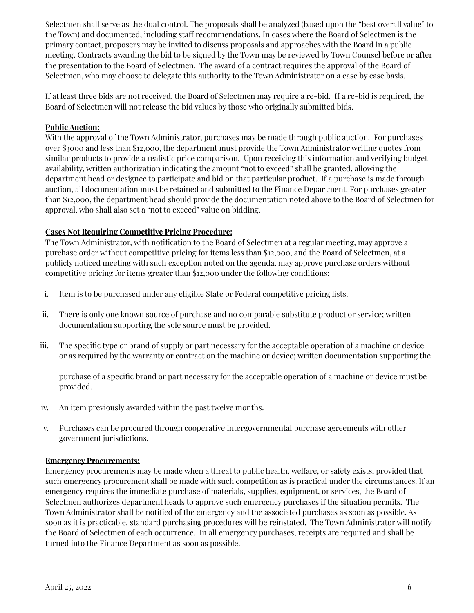Selectmen shall serve as the dual control. The proposals shall be analyzed (based upon the "best overall value" to the Town) and documented, including staff recommendations. In cases where the Board of Selectmen is the primary contact, proposers may be invited to discuss proposals and approaches with the Board in a public meeting. Contracts awarding the bid to be signed by the Town may be reviewed by Town Counsel before or after the presentation to the Board of Selectmen. The award of a contract requires the approval of the Board of Selectmen, who may choose to delegate this authority to the Town Administrator on a case by case basis.

If at least three bids are not received, the Board of Selectmen may require a re-bid. If a re-bid is required, the Board of Selectmen will not release the bid values by those who originally submitted bids.

#### **Public Auction:**

With the approval of the Town Administrator, purchases may be made through public auction. For purchases over \$3000 and less than \$12,000, the department must provide the Town Administrator writing quotes from similar products to provide a realistic price comparison. Upon receiving this information and verifying budget availability, written authorization indicating the amount "not to exceed" shall be granted, allowing the department head or designee to participate and bid on that particular product. If a purchase is made through auction, all documentation must be retained and submitted to the Finance Department. For purchases greater than \$12,000, the department head should provide the documentation noted above to the Board of Selectmen for approval, who shall also set a "not to exceed" value on bidding.

#### **Cases Not Requiring Competitive Pricing Procedure:**

The Town Administrator, with notification to the Board of Selectmen at a regular meeting, may approve a purchase order without competitive pricing for items less than \$12,000, and the Board of Selectmen, at a publicly noticed meeting with such exception noted on the agenda, may approve purchase orders without competitive pricing for items greater than \$12,000 under the following conditions:

- i. Item is to be purchased under any eligible State or Federal competitive pricing lists.
- ii. There is only one known source of purchase and no comparable substitute product or service; written documentation supporting the sole source must be provided.
- iii. The specific type or brand of supply or part necessary for the acceptable operation of a machine or device or as required by the warranty or contract on the machine or device; written documentation supporting the

purchase of a specific brand or part necessary for the acceptable operation of a machine or device must be provided.

- iv. An item previously awarded within the past twelve months.
- v. Purchases can be procured through cooperative intergovernmental purchase agreements with other government jurisdictions.

#### **Emergency Procurements:**

Emergency procurements may be made when a threat to public health, welfare, or safety exists, provided that such emergency procurement shall be made with such competition as is practical under the circumstances. If an emergency requires the immediate purchase of materials, supplies, equipment, or services, the Board of Selectmen authorizes department heads to approve such emergency purchases if the situation permits. The Town Administrator shall be notified of the emergency and the associated purchases as soon as possible. As soon as it is practicable, standard purchasing procedures will be reinstated. The Town Administrator will notify the Board of Selectmen of each occurrence. In all emergency purchases, receipts are required and shall be turned into the Finance Department as soon as possible.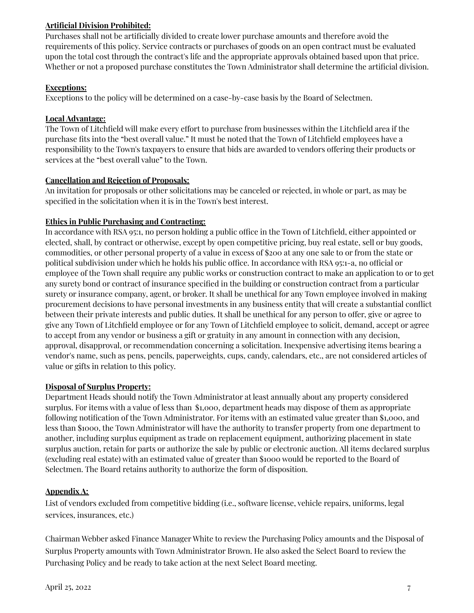## **Artificial Division Prohibited:**

Purchases shall not be artificially divided to create lower purchase amounts and therefore avoid the requirements of this policy. Service contracts or purchases of goods on an open contract must be evaluated upon the total cost through the contract's life and the appropriate approvals obtained based upon that price. Whether or not a proposed purchase constitutes the Town Administrator shall determine the artificial division.

## **Exceptions:**

Exceptions to the policy will be determined on a case-by-case basis by the Board of Selectmen.

## **Local Advantage:**

The Town of Litchfield will make every effort to purchase from businesses within the Litchfield area if the purchase fits into the "best overall value." It must be noted that the Town of Litchfield employees have a responsibility to the Town's taxpayers to ensure that bids are awarded to vendors offering their products or services at the "best overall value" to the Town.

## **Cancellation and Rejection of Proposals:**

An invitation for proposals or other solicitations may be canceled or rejected, in whole or part, as may be specified in the solicitation when it is in the Town's best interest.

## **Ethics in Public Purchasing and Contracting:**

In accordance with RSA 95:1, no person holding a public office in the Town of Litchfield, either appointed or elected, shall, by contract or otherwise, except by open competitive pricing, buy real estate, sell or buy goods, commodities, or other personal property of a value in excess of \$200 at any one sale to or from the state or political subdivision under which he holds his public office. In accordance with RSA 95:1-a, no official or employee of the Town shall require any public works or construction contract to make an application to or to get any surety bond or contract of insurance specified in the building or construction contract from a particular surety or insurance company, agent, or broker. It shall be unethical for any Town employee involved in making procurement decisions to have personal investments in any business entity that will create a substantial conflict between their private interests and public duties. It shall be unethical for any person to offer, give or agree to give any Town of Litchfield employee or for any Town of Litchfield employee to solicit, demand, accept or agree to accept from any vendor or business a gift or gratuity in any amount in connection with any decision, approval, disapproval, or recommendation concerning a solicitation. Inexpensive advertising items bearing a vendor's name, such as pens, pencils, paperweights, cups, candy, calendars, etc., are not considered articles of value or gifts in relation to this policy.

## **Disposal of Surplus Property:**

Department Heads should notify the Town Administrator at least annually about any property considered surplus. For items with a value of less than \$1,000, department heads may dispose of them as appropriate following notification of the Town Administrator. For items with an estimated value greater than \$1,000, and less than \$1000, the Town Administrator will have the authority to transfer property from one department to another, including surplus equipment as trade on replacement equipment, authorizing placement in state surplus auction, retain for parts or authorize the sale by public or electronic auction. All items declared surplus (excluding real estate) with an estimated value of greater than \$1000 would be reported to the Board of Selectmen. The Board retains authority to authorize the form of disposition.

## **Appendix A:**

List of vendors excluded from competitive bidding (i.e., software license, vehicle repairs, uniforms, legal services, insurances, etc.)

Chairman Webber asked Finance Manager White to review the Purchasing Policy amounts and the Disposal of Surplus Property amounts with Town Administrator Brown. He also asked the Select Board to review the Purchasing Policy and be ready to take action at the next Select Board meeting.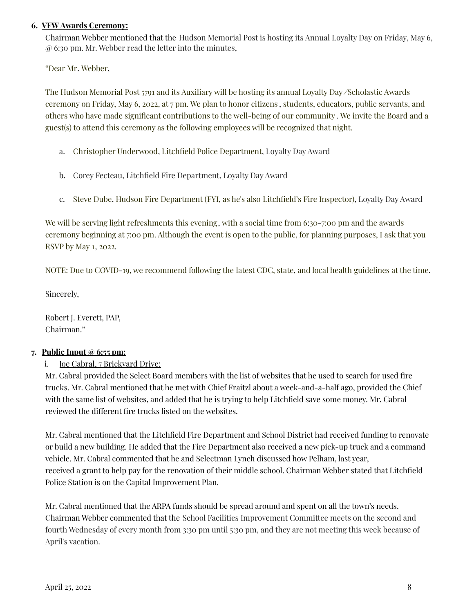#### **6. VFW Awards Ceremony:**

Chairman Webber mentioned that the Hudson Memorial Post is hosting its Annual Loyalty Day on Friday, May 6, @ 6:30 pm. Mr. Webber read the letter into the minutes,

"Dear Mr. Webber,

The Hudson Memorial Post 5791 and its Auxiliary will be hosting its annual Loyalty Day */*Scholastic Awards ceremony on Friday, May 6, 2022, at 7 pm. We plan to honor citizens , students, educators, public servants, and others who have made significant contributions to the well-being of our community . We invite the Board and a guest(s) to attend this ceremony as the following employees will be recognized that night.

- a. Christopher Underwood, Litchfield Police Department, Loyalty Day Award
- b. Corey Fecteau, Litchfield Fire Department, Loyalty Day Award
- c. Steve Dube, Hudson Fire Department (FYI, as he's also Litchfield's Fire Inspector), Loyalty Day Award

We will be serving light refreshments this evening, with a social time from 6:30-7:00 pm and the awards ceremony beginning at 7:00 pm. Although the event is open to the public, for planning purposes, I ask that you RSVP by May 1, 2022.

NOTE: Due to COVID-19, we recommend following the latest CDC, state, and local health guidelines at the time.

Sincerely,

Robert J. Everett, PAP, Chairman."

#### **7. Public Input @ 6:55 pm:**

#### i. **Joe Cabral, 7 Brickyard Drive:**

Mr. Cabral provided the Select Board members with the list of websites that he used to search for used fire trucks. Mr. Cabral mentioned that he met with Chief Fraitzl about a week-and-a-half ago, provided the Chief with the same list of websites, and added that he is trying to help Litchfield save some money. Mr. Cabral reviewed the different fire trucks listed on the websites.

Mr. Cabral mentioned that the Litchfield Fire Department and School District had received funding to renovate or build a new building. He added that the Fire Department also received a new pick-up truck and a command vehicle. Mr. Cabral commented that he and Selectman Lynch discussed how Pelham, last year, received a grant to help pay for the renovation of their middle school. Chairman Webber stated that Litchfield Police Station is on the Capital Improvement Plan.

Mr. Cabral mentioned that the ARPA funds should be spread around and spent on all the town's needs. Chairman Webber commented that the School Facilities Improvement Committee meets on the second and fourth Wednesday of every month from 3:30 pm until 5:30 pm, and they are not meeting this week because of April's vacation.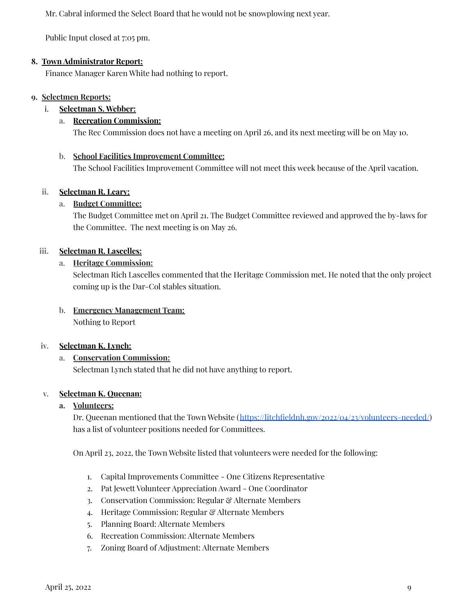Mr. Cabral informed the Select Board that he would not be snowplowing next year.

Public Input closed at 7:05 pm.

## **8. Town Administrator Report:**

Finance Manager Karen White had nothing to report.

#### **9. Selectmen Reports:**

#### i. **Selectman S. Webber:**

## a. **Recreation Commission:**

The Rec Commission does not have a meeting on April 26, and its next meeting will be on May 10.

#### b. **School Facilities Improvement Committee:**

The School Facilities Improvement Committee will not meet this week because of the April vacation.

## **ii. Selectman R. Leary:**

## a. **Budget Committee:**

The Budget Committee met on April 21. The Budget Committee reviewed and approved the by-laws for the Committee. The next meeting is on May 26.

## **iii. Selectman R. Lascelles:**

## a. **Heritage Commission:**

Selectman Rich Lascelles commented that the Heritage Commission met. He noted that the only project coming up is the Dar-Col stables situation.

# b. **Emergency Management Team:**

Nothing to Report

#### **iv. Selectman K. Lynch:**

## a. **Conservation Commission:**

Selectman Lynch stated that he did not have anything to report.

#### **v. Selectman K. Queenan:**

#### **a. Volunteers:**

Dr. Queenan mentioned that the Town Website (<https://litchfieldnh.gov/2022/04/23/volunteers-needed/>) has a list of volunteer positions needed for Committees.

On April 23, 2022, the Town Website listed that volunteers were needed for the following:

- 1. Capital Improvements Committee One Citizens Representative
- 2. Pat Jewett Volunteer Appreciation Award One Coordinator
- 3. Conservation Commission: Regular & Alternate Members
- 4. Heritage Commission: Regular & Alternate Members
- 5. Planning Board: Alternate Members
- 6. Recreation Commission: Alternate Members
- 7. Zoning Board of Adjustment: Alternate Members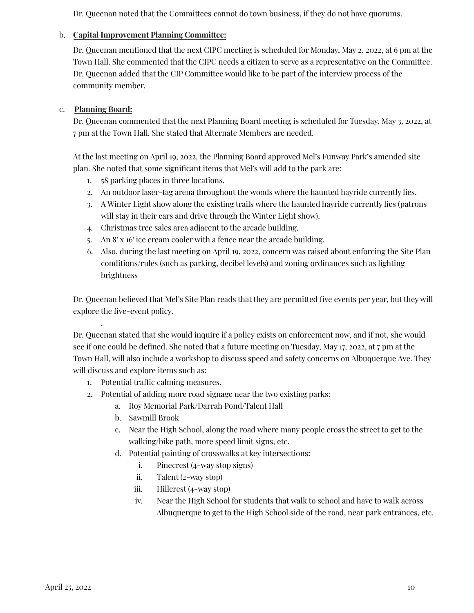Dr. Queenan noted that the Committees cannot do town business, if they do not have quorums.

#### b. **Capital Improvement Planning Committee:**

Dr. Queenan mentioned that the next CIPC meeting is scheduled for Monday, May 2, 2022, at 6 pm at the Town Hall. She commented that the CIPC needs a citizen to serve as a representative on the Committee. Dr. Queenan added that the CIP Committee would like to be part of the interview process of the community member.

#### c. **Planning Board:**

.

Dr. Queenan commented that the next Planning Board meeting is scheduled for Tuesday, May 3, 2022, at 7 pm at the Town Hall. She stated that Alternate Members are needed.

At the last meeting on April 19, 2022, the Planning Board approved Mel's Funway Park's amended site plan. She noted that some significant items that Mel's will add to the park are:

- 1. 58 parking places in three locations.
- 2. An outdoor laser-tag arena throughout the woods where the haunted hayride currently lies.
- 3. A Winter Light show along the existing trails where the haunted hayride currently lies (patrons will stay in their cars and drive through the Winter Light show).
- 4. Christmas tree sales area adjacent to the arcade building.
- 5. An 8' x 16' ice cream cooler with a fence near the arcade building.
- 6. Also, during the last meeting on April 19, 2022, concern was raised about enforcing the Site Plan conditions/rules (such as parking, decibel levels) and zoning ordinances such as lighting brightness

Dr. Queenan believed that Mel's Site Plan reads that they are permitted five events per year, but they will explore the five-event policy.

Dr. Queenan stated that she would inquire if a policy exists on enforcement now, and if not, she would see if one could be defined. She noted that a future meeting on Tuesday, May 17, 2022, at 7 pm at the Town Hall, will also include a workshop to discuss speed and safety concerns on Albuquerque Ave. They will discuss and explore items such as:

- 1. Potential traffic calming measures.
- 2. Potential of adding more road signage near the two existing parks:
	- a. Roy Memorial Park/Darrah Pond/Talent Hall
		- b. Sawmill Brook
		- c. Near the High School, along the road where many people cross the street to get to the walking/bike path, more speed limit signs, etc.
		- d. Potential painting of crosswalks at key intersections:
			- i. Pinecrest (4-way stop signs)
			- ii. Talent (2-way stop)
			- iii. Hillcrest (4-way stop)
			- iv. Near the High School for students that walk to school and have to walk across Albuquerque to get to the High School side of the road, near park entrances, etc.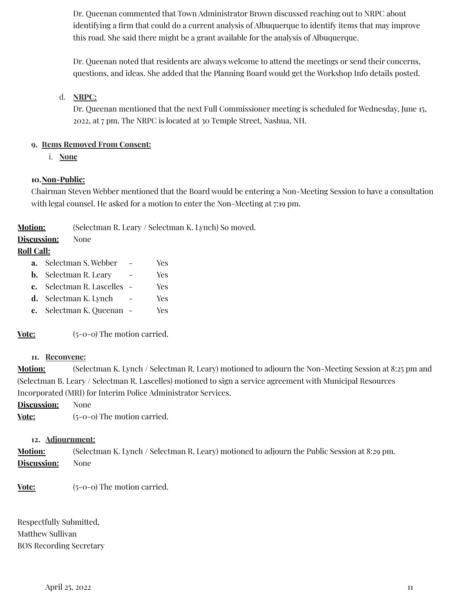Dr. Queenan commented that Town Administrator Brown discussed reaching out to NRPC about identifying a firm that could do a current analysis of Albuquerque to identify items that may improve this road. She said there might be a grant available for the analysis of Albuquerque.

Dr. Queenan noted that residents are always welcome to attend the meetings or send their concerns, questions, and ideas. She added that the Planning Board would get the Workshop Info details posted.

## d. **NRPC:**

Dr. Queenan mentioned that the next Full Commissioner meeting is scheduled for Wednesday, June 15, 2022, at 7 pm. The NRPC is located at 30 Temple Street, Nashua, NH.

#### **9. Items Removed From Consent:**

i. **None**

## **10.Non-Public:**

Chairman Steven Webber mentioned that the Board would be entering a Non-Meeting Session to have a consultation with legal counsel. He asked for a motion to enter the Non-Meeting at 7:19 pm.

**Motion:** (Selectman R. Leary / Selectman K. Lynch) So moved.

# **Discussion:** None

## **Roll Call:**

- **a.** Selectman S. Webber Yes
- **b.** Selectman R. Leary Yes
- **c.** Selectman R. Lascelles Yes
- **d.** Selectman K. Lynch Yes
- **e.** Selectman K. Queenan Yes

**Vote:** (5-0-0) The motion carried.

#### **11. Reconvene:**

**Motion:** (Selectman K. Lynch / Selectman R. Leary) motioned to adjourn the Non-Meeting Session at 8:25 pm and (Selectman B. Leary / Selectman R. Lascelles) motioned to sign a service agreement with Municipal Resources Incorporated (MRI) for Interim Police Administrator Services.

**Discussion:** None

**Vote:** (5-0-0) The motion carried.

#### **12. Adjournment:**

**Motion:** (Selectman K. Lynch / Selectman R. Leary) motioned to adjourn the Public Session at 8:29 pm. **Discussion:** None

**Vote:** (5-0-0) The motion carried.

Respectfully Submitted, Matthew Sullivan BOS Recording Secretary